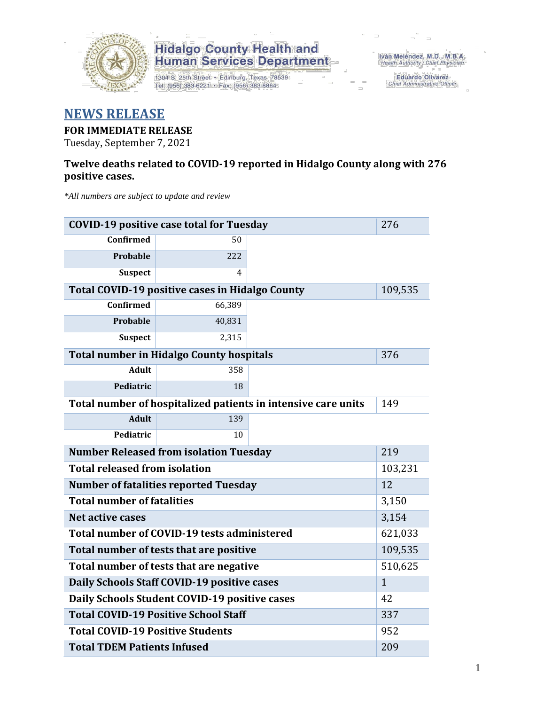

1304 S. 25th Street · Edinburg, Texas 78539 Tel: (956) 383-6221 • Fax: (956) 383-8864

Iván Meléndez, M.D., M.B.A.<br>Health Authority / Chief Physician

Eduardo Olivarez Chief Administrative Officer

### **NEWS RELEASE**

### **FOR IMMEDIATE RELEASE**

Tuesday, September 7, 2021

#### **Twelve deaths related to COVID-19 reported in Hidalgo County along with 276 positive cases.**

*\*All numbers are subject to update and review*

| <b>COVID-19 positive case total for Tuesday</b> | 276                                             |                                                               |         |  |  |
|-------------------------------------------------|-------------------------------------------------|---------------------------------------------------------------|---------|--|--|
| Confirmed                                       | 50                                              |                                                               |         |  |  |
| Probable                                        | 222                                             |                                                               |         |  |  |
| <b>Suspect</b>                                  | 4                                               |                                                               |         |  |  |
|                                                 | Total COVID-19 positive cases in Hidalgo County |                                                               | 109,535 |  |  |
| Confirmed                                       | 66,389                                          |                                                               |         |  |  |
| <b>Probable</b>                                 | 40,831                                          |                                                               |         |  |  |
| <b>Suspect</b>                                  | 2,315                                           |                                                               |         |  |  |
|                                                 | <b>Total number in Hidalgo County hospitals</b> |                                                               | 376     |  |  |
| <b>Adult</b>                                    | 358                                             |                                                               |         |  |  |
| Pediatric                                       | 18                                              |                                                               |         |  |  |
|                                                 |                                                 | Total number of hospitalized patients in intensive care units | 149     |  |  |
| <b>Adult</b>                                    | 139                                             |                                                               |         |  |  |
| Pediatric                                       | 10                                              |                                                               |         |  |  |
| <b>Number Released from isolation Tuesday</b>   | 219                                             |                                                               |         |  |  |
| <b>Total released from isolation</b><br>103,231 |                                                 |                                                               |         |  |  |
| <b>Number of fatalities reported Tuesday</b>    | 12                                              |                                                               |         |  |  |
| <b>Total number of fatalities</b>               | 3,150                                           |                                                               |         |  |  |
| <b>Net active cases</b>                         | 3,154                                           |                                                               |         |  |  |
|                                                 | Total number of COVID-19 tests administered     |                                                               | 621,033 |  |  |
| Total number of tests that are positive         | 109,535                                         |                                                               |         |  |  |
| Total number of tests that are negative         | 510,625                                         |                                                               |         |  |  |
| Daily Schools Staff COVID-19 positive cases     | $\mathbf{1}$                                    |                                                               |         |  |  |
| Daily Schools Student COVID-19 positive cases   | 42                                              |                                                               |         |  |  |
| <b>Total COVID-19 Positive School Staff</b>     | 337                                             |                                                               |         |  |  |
| <b>Total COVID-19 Positive Students</b>         | 952                                             |                                                               |         |  |  |
| <b>Total TDEM Patients Infused</b>              | 209                                             |                                                               |         |  |  |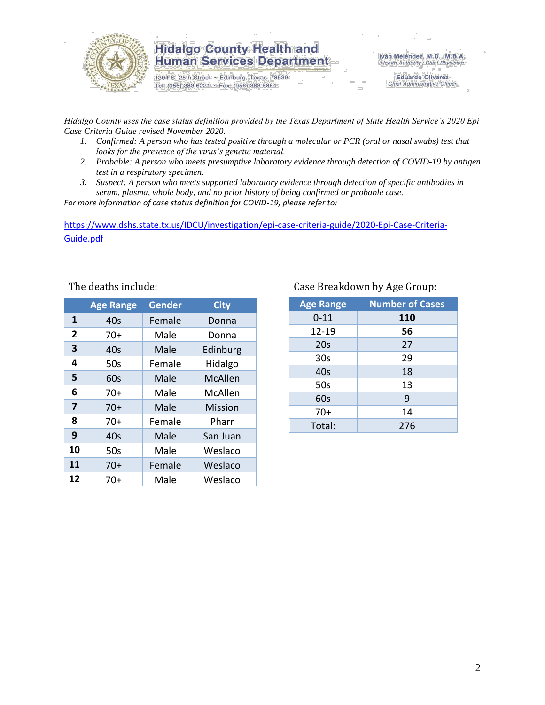

1304 S. 25th Street · Edinburg, Texas 78539 Tel: (956) 383-6221 · Fax: (956) 383-8864

Iván Meléndez, M.D., M.B.A. Health Authority / Chief Physician

> **Eduardo Olivarez** Chief Administrative Officer

*Hidalgo County uses the case status definition provided by the Texas Department of State Health Service's 2020 Epi Case Criteria Guide revised November 2020.*

- *1. Confirmed: A person who has tested positive through a molecular or PCR (oral or nasal swabs) test that looks for the presence of the virus's genetic material.*
- *2. Probable: A person who meets presumptive laboratory evidence through detection of COVID-19 by antigen test in a respiratory specimen.*
- *3. Suspect: A person who meets supported laboratory evidence through detection of specific antibodies in serum, plasma, whole body, and no prior history of being confirmed or probable case.*

*For more information of case status definition for COVID-19, please refer to:*

[https://www.dshs.state.tx.us/IDCU/investigation/epi-case-criteria-guide/2020-Epi-Case-Criteria-](https://www.dshs.state.tx.us/IDCU/investigation/epi-case-criteria-guide/2020-Epi-Case-Criteria-Guide.pdf)[Guide.pdf](https://www.dshs.state.tx.us/IDCU/investigation/epi-case-criteria-guide/2020-Epi-Case-Criteria-Guide.pdf)

|                | <b>Age Range</b> | <b>Gender</b> | <b>City</b>    |
|----------------|------------------|---------------|----------------|
| 1              | 40 <sub>s</sub>  | Female        | Donna          |
| $\overline{2}$ | $70+$            | Male          | Donna          |
| 3              | 40s              | Male          | Edinburg       |
| 4              | 50s              | Female        | Hidalgo        |
| 5              | 60s              | Male          | McAllen        |
| 6              | $70+$            | Male          | McAllen        |
| 7              | $70+$            | Male          | <b>Mission</b> |
| 8              | $70+$            | Female        | Pharr          |
| 9              | 40 <sub>s</sub>  | Male          | San Juan       |
| 10             | 50s              | Male          | Weslaco        |
| 11             | $70+$            | Female        | Weslaco        |
| 12             | $70+$            | Male          | Weslaco        |

#### The deaths include: Case Breakdown by Age Group:

| <b>Age Range</b> | <b>Number of Cases</b> |
|------------------|------------------------|
| $0 - 11$         | 110                    |
| 12-19            | 56                     |
| 20s              | 27                     |
| 30 <sub>s</sub>  | 29                     |
| 40s              | 18                     |
| 50s              | 13                     |
| 60s              | 9                      |
| $70+$            | 14                     |
| Total:           | 276                    |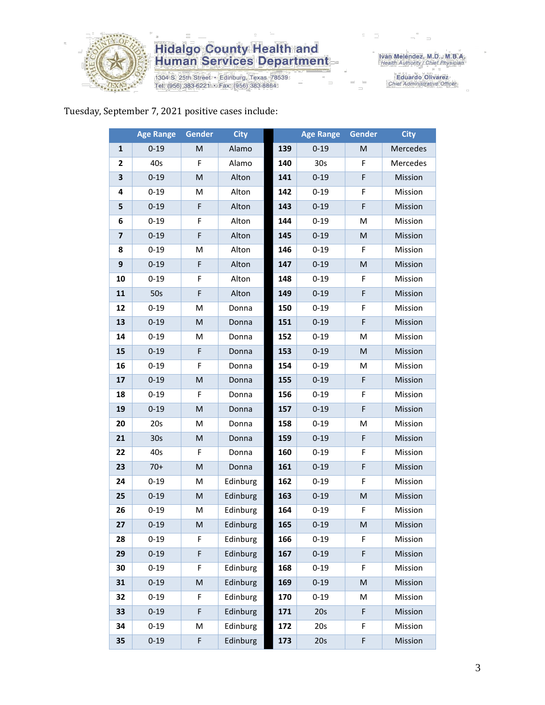

1304 S. 25th Street • Edinburg, Texas 78539<br>Tel: (956) 383-6221 • Fax: (956) 383-8864

Iván Meléndez, M.D., M.B.A.<br>Health Authority / Chief Physician

Eduardo Olivarez<br>Chief Administrative Officer

### Tuesday, September 7, 2021 positive cases include:

|                | <b>Age Range</b> | <b>Gender</b> | <b>City</b> |     | <b>Age Range</b> | Gender      | <b>City</b> |
|----------------|------------------|---------------|-------------|-----|------------------|-------------|-------------|
| 1              | $0 - 19$         | M             | Alamo       | 139 | $0 - 19$         | M           | Mercedes    |
| $\overline{2}$ | 40s              | F             | Alamo       | 140 | 30 <sub>s</sub>  | F           | Mercedes    |
| 3              | $0 - 19$         | M             | Alton       | 141 | $0 - 19$         | F           | Mission     |
| 4              | $0 - 19$         | M             | Alton       | 142 | $0 - 19$         | F           | Mission     |
| 5              | $0 - 19$         | F             | Alton       | 143 | $0 - 19$         | F           | Mission     |
| 6              | $0 - 19$         | F             | Alton       | 144 | $0 - 19$         | M           | Mission     |
| $\overline{7}$ | $0 - 19$         | F             | Alton       | 145 | $0 - 19$         | M           | Mission     |
| 8              | $0 - 19$         | M             | Alton       | 146 | $0 - 19$         | F           | Mission     |
| 9              | $0 - 19$         | $\mathsf F$   | Alton       | 147 | $0 - 19$         | M           | Mission     |
| 10             | $0 - 19$         | F             | Alton       | 148 | $0 - 19$         | F           | Mission     |
| 11             | 50s              | F             | Alton       | 149 | $0 - 19$         | $\mathsf F$ | Mission     |
| 12             | $0 - 19$         | M             | Donna       | 150 | $0 - 19$         | F           | Mission     |
| 13             | $0 - 19$         | M             | Donna       | 151 | $0 - 19$         | F           | Mission     |
| 14             | $0 - 19$         | M             | Donna       | 152 | $0 - 19$         | M           | Mission     |
| 15             | $0 - 19$         | $\mathsf F$   | Donna       | 153 | $0 - 19$         | M           | Mission     |
| 16             | $0 - 19$         | F             | Donna       | 154 | $0 - 19$         | M           | Mission     |
| 17             | $0 - 19$         | M             | Donna       | 155 | $0 - 19$         | $\mathsf F$ | Mission     |
| 18             | $0 - 19$         | F             | Donna       | 156 | $0 - 19$         | F           | Mission     |
| 19             | $0 - 19$         | M             | Donna       | 157 | $0 - 19$         | F           | Mission     |
| 20             | 20s              | M             | Donna       | 158 | $0 - 19$         | M           | Mission     |
| 21             | 30 <sub>s</sub>  | M             | Donna       | 159 | $0 - 19$         | $\mathsf F$ | Mission     |
| 22             | 40s              | F             | Donna       | 160 | $0 - 19$         | F           | Mission     |
| 23             | $70+$            | M             | Donna       | 161 | $0 - 19$         | F           | Mission     |
| 24             | $0 - 19$         | M             | Edinburg    | 162 | $0 - 19$         | F           | Mission     |
| 25             | $0 - 19$         | M             | Edinburg    | 163 | $0 - 19$         | ${\sf M}$   | Mission     |
| 26             | $0 - 19$         | M             | Edinburg    | 164 | $0 - 19$         | F           | Mission     |
| 27             | $0 - 19$         | ${\sf M}$     | Edinburg    | 165 | $0 - 19$         | M           | Mission     |
| 28             | $0 - 19$         | F             | Edinburg    | 166 | $0 - 19$         | F           | Mission     |
| 29             | $0 - 19$         | $\mathsf F$   | Edinburg    | 167 | $0 - 19$         | $\mathsf F$ | Mission     |
| 30             | $0 - 19$         | F             | Edinburg    | 168 | $0 - 19$         | F           | Mission     |
| 31             | $0 - 19$         | ${\sf M}$     | Edinburg    | 169 | $0 - 19$         | M           | Mission     |
| 32             | $0 - 19$         | F             | Edinburg    | 170 | $0 - 19$         | M           | Mission     |
| 33             | $0 - 19$         | F             | Edinburg    | 171 | 20s              | $\mathsf F$ | Mission     |
| 34             | $0 - 19$         | M             | Edinburg    | 172 | 20s              | F           | Mission     |
| 35             | $0 - 19$         | F             | Edinburg    | 173 | 20s              | F           | Mission     |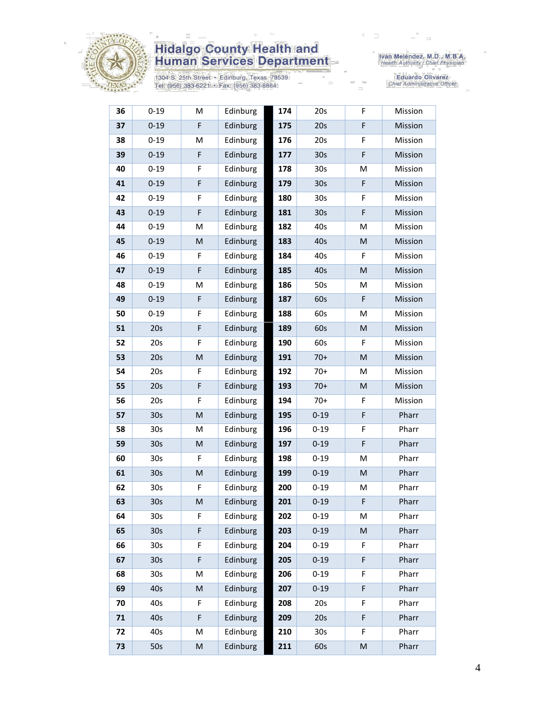

1304 S. 25th Street • Edinburg, Texas 78539<br>Tel: (956) 383-6221 • Fax: (956) 383-8864

Iván Meléndez, M.D., M.B.A.<br>Health Authority / Chief Physician

Eduardo Olivarez<br>Chief Administrative Officer

| 36 | $0 - 19$        | M                                                                                                          | Edinburg | 174 | 20s             | F  | Mission |
|----|-----------------|------------------------------------------------------------------------------------------------------------|----------|-----|-----------------|----|---------|
| 37 | $0 - 19$        | F                                                                                                          | Edinburg | 175 | 20s             | F  | Mission |
| 38 | $0 - 19$        | M                                                                                                          | Edinburg | 176 | 20s             | F  | Mission |
| 39 | $0 - 19$        | F                                                                                                          | Edinburg | 177 | 30 <sub>s</sub> | F  | Mission |
| 40 | $0 - 19$        | F                                                                                                          | Edinburg | 178 | 30s             | M  | Mission |
| 41 | $0 - 19$        | F                                                                                                          | Edinburg | 179 | 30 <sub>s</sub> | F  | Mission |
| 42 | $0 - 19$        | F                                                                                                          | Edinburg | 180 | 30 <sub>s</sub> | F  | Mission |
| 43 | $0 - 19$        | F                                                                                                          | Edinburg | 181 | 30 <sub>s</sub> | F  | Mission |
| 44 | $0 - 19$        | M                                                                                                          | Edinburg | 182 | 40s             | M  | Mission |
| 45 | $0 - 19$        | ${\sf M}$                                                                                                  | Edinburg | 183 | 40s             | M  | Mission |
| 46 | $0 - 19$        | F                                                                                                          | Edinburg | 184 | 40s             | F  | Mission |
| 47 | $0 - 19$        | F                                                                                                          | Edinburg | 185 | 40s             | M  | Mission |
| 48 | $0 - 19$        | M                                                                                                          | Edinburg | 186 | 50s             | M  | Mission |
| 49 | $0 - 19$        | F                                                                                                          | Edinburg | 187 | 60s             | F  | Mission |
| 50 | $0 - 19$        | F                                                                                                          | Edinburg | 188 | 60s             | M  | Mission |
| 51 | 20s             | F                                                                                                          | Edinburg | 189 | 60s             | M  | Mission |
| 52 | 20s             | F                                                                                                          | Edinburg | 190 | 60s             | F  | Mission |
| 53 | 20s             | M                                                                                                          | Edinburg | 191 | $70+$           | M  | Mission |
| 54 | 20s             | F                                                                                                          | Edinburg | 192 | $70+$           | M  | Mission |
| 55 | 20s             | F                                                                                                          | Edinburg | 193 | $70+$           | M  | Mission |
| 56 | 20s             | F                                                                                                          | Edinburg | 194 | $70+$           | F  | Mission |
| 57 | 30s             | M                                                                                                          | Edinburg | 195 | $0 - 19$        | F  | Pharr   |
| 58 | 30 <sub>s</sub> | M                                                                                                          | Edinburg | 196 | $0 - 19$        | F  | Pharr   |
| 59 | 30s             | ${\sf M}$                                                                                                  | Edinburg | 197 | $0 - 19$        | F  | Pharr   |
| 60 | 30 <sub>s</sub> | F                                                                                                          | Edinburg | 198 | $0 - 19$        | M  | Pharr   |
| 61 | 30 <sub>s</sub> | $\mathsf{M}% _{T}=\mathsf{M}_{T}\!\left( a,b\right) ,\ \mathsf{M}_{T}=\mathsf{M}_{T}\!\left( a,b\right) ,$ | Edinburg | 199 | $0 - 19$        | M  | Pharr   |
| 62 | 30 <sub>s</sub> | F                                                                                                          | Edinburg | 200 | $0 - 19$        | М  | Pharr   |
| 63 | 30s             | ${\sf M}$                                                                                                  | Edinburg | 201 | $0 - 19$        | F  | Pharr   |
| 64 | 30 <sub>s</sub> | F                                                                                                          | Edinburg | 202 | $0 - 19$        | M  | Pharr   |
| 65 | 30 <sub>s</sub> | F                                                                                                          | Edinburg | 203 | $0 - 19$        | M  | Pharr   |
| 66 | 30 <sub>s</sub> | F                                                                                                          | Edinburg | 204 | $0 - 19$        | F. | Pharr   |
| 67 | 30 <sub>s</sub> | F                                                                                                          | Edinburg | 205 | $0 - 19$        | F  | Pharr   |
| 68 | 30 <sub>s</sub> | M                                                                                                          | Edinburg | 206 | $0 - 19$        | F  | Pharr   |
| 69 | 40s             | M                                                                                                          | Edinburg | 207 | $0 - 19$        | F  | Pharr   |
| 70 | 40s             | F                                                                                                          | Edinburg | 208 | 20s             | F  | Pharr   |
| 71 | 40s             | F                                                                                                          | Edinburg | 209 | 20s             | F  | Pharr   |
| 72 | 40s             | M                                                                                                          | Edinburg | 210 | 30 <sub>s</sub> | F  | Pharr   |
| 73 | 50s             | M                                                                                                          | Edinburg | 211 | 60s             | M  | Pharr   |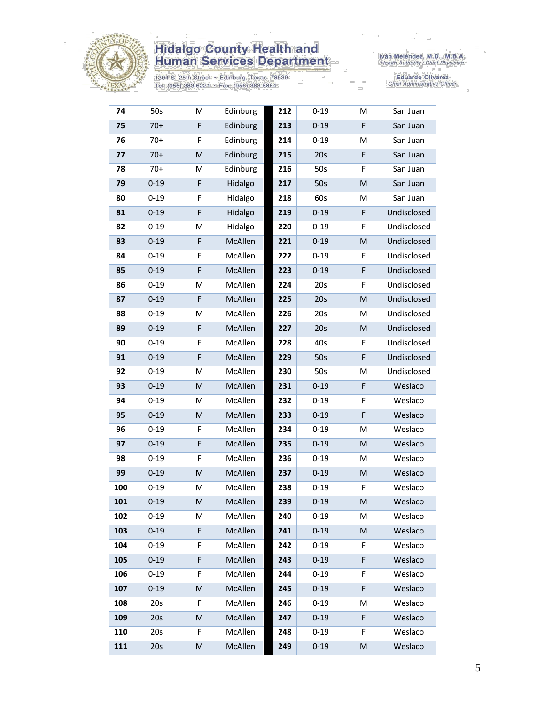

1304 S. 25th Street • Edinburg, Texas 78539<br>Tel: (956) 383-6221 • Fax: (956) 383-8864

Iván Meléndez, M.D., M.B.A.<br>Health Authority / Chief Physician

Eduardo Olivarez<br>Chief Administrative Officer

| 74  | 50s      | M  | Edinburg | 212 | $0 - 19$ | М  | San Juan    |
|-----|----------|----|----------|-----|----------|----|-------------|
| 75  | $70+$    | F  | Edinburg | 213 | $0 - 19$ | F  | San Juan    |
| 76  | $70+$    | F  | Edinburg | 214 | $0 - 19$ | M  | San Juan    |
| 77  | $70+$    | M  | Edinburg | 215 | 20s      | F  | San Juan    |
| 78  | $70+$    | M  | Edinburg | 216 | 50s      | F  | San Juan    |
| 79  | $0 - 19$ | F  | Hidalgo  | 217 | 50s      | M  | San Juan    |
| 80  | $0 - 19$ | F  | Hidalgo  | 218 | 60s      | M  | San Juan    |
| 81  | $0 - 19$ | F  | Hidalgo  | 219 | $0 - 19$ | F  | Undisclosed |
| 82  | $0 - 19$ | M  | Hidalgo  | 220 | $0 - 19$ | F  | Undisclosed |
| 83  | $0 - 19$ | F  | McAllen  | 221 | $0 - 19$ | M  | Undisclosed |
| 84  | $0 - 19$ | F  | McAllen  | 222 | $0 - 19$ | F  | Undisclosed |
| 85  | $0 - 19$ | F  | McAllen  | 223 | $0 - 19$ | F  | Undisclosed |
| 86  | $0 - 19$ | M  | McAllen  | 224 | 20s      | F  | Undisclosed |
| 87  | $0 - 19$ | F  | McAllen  | 225 | 20s      | M  | Undisclosed |
| 88  | $0 - 19$ | M  | McAllen  | 226 | 20s      | M  | Undisclosed |
| 89  | $0 - 19$ | F  | McAllen  | 227 | 20s      | M  | Undisclosed |
| 90  | $0 - 19$ | F  | McAllen  | 228 | 40s      | F  | Undisclosed |
| 91  | $0 - 19$ | F  | McAllen  | 229 | 50s      | F  | Undisclosed |
| 92  | $0 - 19$ | M  | McAllen  | 230 | 50s      | M  | Undisclosed |
| 93  | $0 - 19$ | M  | McAllen  | 231 | $0 - 19$ | F  | Weslaco     |
| 94  | $0 - 19$ | M  | McAllen  | 232 | $0 - 19$ | F  | Weslaco     |
| 95  | $0 - 19$ | M  | McAllen  | 233 | $0 - 19$ | F  | Weslaco     |
| 96  | $0 - 19$ | F  | McAllen  | 234 | $0 - 19$ | M  | Weslaco     |
| 97  | $0 - 19$ | F  | McAllen  | 235 | $0 - 19$ | M  | Weslaco     |
| 98  | $0 - 19$ | F  | McAllen  | 236 | $0 - 19$ | М  | Weslaco     |
| 99  | $0 - 19$ | M  | McAllen  | 237 | $0 - 19$ | M  | Weslaco     |
| 100 | $0 - 19$ | M  | McAllen  | 238 | $0 - 19$ | F  | Weslaco     |
| 101 | $0 - 19$ | M  | McAllen  | 239 | $0 - 19$ | M  | Weslaco     |
| 102 | $0 - 19$ | М  | McAllen  | 240 | $0 - 19$ | М  | Weslaco     |
| 103 | $0 - 19$ | F  | McAllen  | 241 | $0 - 19$ | M  | Weslaco     |
| 104 | $0 - 19$ | F  | McAllen  | 242 | $0 - 19$ | F. | Weslaco     |
| 105 | $0 - 19$ | F  | McAllen  | 243 | $0 - 19$ | F  | Weslaco     |
| 106 | $0 - 19$ | F  | McAllen  | 244 | $0 - 19$ | F  | Weslaco     |
| 107 | $0 - 19$ | M  | McAllen  | 245 | $0 - 19$ | F  | Weslaco     |
| 108 | 20s      | F. | McAllen  | 246 | $0 - 19$ | М  | Weslaco     |
| 109 | 20s      | M  | McAllen  | 247 | $0 - 19$ | F  | Weslaco     |
| 110 | 20s      | F  | McAllen  | 248 | $0 - 19$ | F  | Weslaco     |
| 111 | 20s      | M  | McAllen  | 249 | $0 - 19$ | M  | Weslaco     |